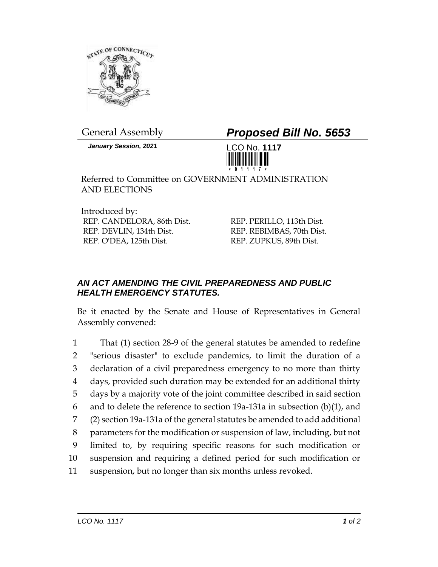

*January Session, 2021* LCO No. **1117**

General Assembly *Proposed Bill No. 5653*



Referred to Committee on GOVERNMENT ADMINISTRATION AND ELECTIONS

Introduced by: REP. CANDELORA, 86th Dist. REP. DEVLIN, 134th Dist. REP. O'DEA, 125th Dist.

REP. PERILLO, 113th Dist. REP. REBIMBAS, 70th Dist. REP. ZUPKUS, 89th Dist.

## *AN ACT AMENDING THE CIVIL PREPAREDNESS AND PUBLIC HEALTH EMERGENCY STATUTES.*

Be it enacted by the Senate and House of Representatives in General Assembly convened:

 That (1) section 28-9 of the general statutes be amended to redefine "serious disaster" to exclude pandemics, to limit the duration of a declaration of a civil preparedness emergency to no more than thirty days, provided such duration may be extended for an additional thirty days by a majority vote of the joint committee described in said section and to delete the reference to section 19a-131a in subsection (b)(1), and (2) section 19a-131a of the general statutes be amended to add additional parameters for the modification or suspension of law, including, but not limited to, by requiring specific reasons for such modification or suspension and requiring a defined period for such modification or suspension, but no longer than six months unless revoked.